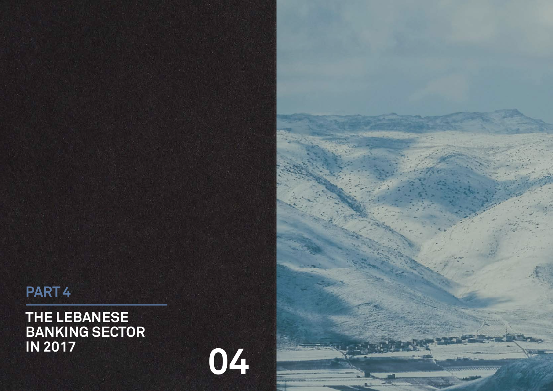**THE LEBANESE BANKING SECTOR IN 2017**

# **PART 4**



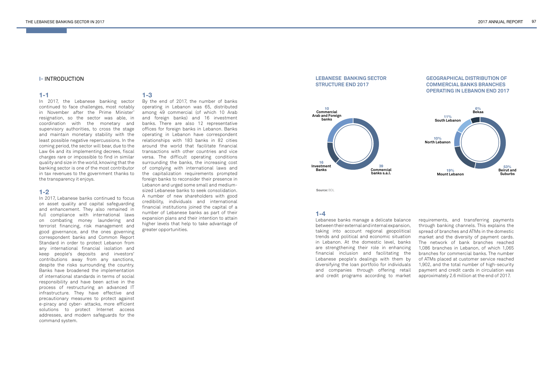### **I-** INTRODUCTION

#### **1-1**

In 2017, the Lebanese banking sector continued to face challenges, most notably in November after the Prime Minister' resignation, so the sector was able, in coordination with the monetary and supervisory authorities, to cross the stage and maintain monetary stability with the least possible negative repercussions. In the coming period, the sector will bear, due to the Law 64 and its implementing decrees, fiscal charges rare or impossible to find in similar quality and size in the world, knowing that the banking sector is one of the most contributor in tax revenues to the government thanks to the transparency it enjoys.

# **1-2**

In 2017, Lebanese banks continued to focus on asset quality and capital safeguarding and enhancement. They also remained in full compliance with international laws on combating money laundering and terrorist financing, risk management and good governance, and the ones governing correspondent banks and Common Report Standard in order to protect Lebanon from any international financial isolation and keep people's deposits and investors' contributions away from any sanctions, despite the risks surrounding the country. Banks have broadened the implementation of international standards in terms of social responsibility and have been active in the process of restructuring an advanced IT infrastructure. They have effective and precautionary measures to protect against e-piracy and cyber- attacks, more efficient solutions to protect Internet access addresses, and modern safeguards for the command system.

#### **1-4**

Lebanese banks manage a delicate balance between their external and internal expansion, taking into account regional geopolitical trends and political and economic situation in Lebanon. At the domestic level, banks are strengthening their role in enhancing financial inclusion and facilitating the Lebanese people's dealings with them by diversifying the loan portfolio for individuals and companies through offering retail and credit programs according to market

requirements, and transferring payments through banking channels. This explains the spread of branches and ATMs in the domestic market and the diversity of payment cards. The network of bank branches reached 1,086 branches in Lebanon, of which 1,065 branches for commercial banks. The number of ATMs placed at customer service reached 1,902, and the total number of high-security payment and credit cards in circulation was approximately 2.6 million at the end of 2017.

# **1-3**

By the end of 2017, the number of banks operating in Lebanon was 65, distributed among 49 commercial (of which 10 Arab and foreign banks) and 16 investment banks. There are also 12 representative offices for foreign banks in Lebanon. Banks operating in Lebanon have correspondent relationships with 183 banks in 82 cities around the world that facilitate financial transactions with other countries and vice versa. The difficult operating conditions surrounding the banks, the increasing cost of complying with international laws and the capitalization requirements prompted foreign banks to reconsider their presence in Lebanon and urged some small and mediumsized Lebanese banks to seek consolidation. A number of new shareholders with good credibility, individuals and international financial institutions joined the capital of a number of Lebanese banks as part of their expansion plans and their intention to attain higher levels that help to take advantage of greater opportunities.

#### **LEBANESE BANKING SECTOR STRUCTURE END 2017**





 **Source:** BDL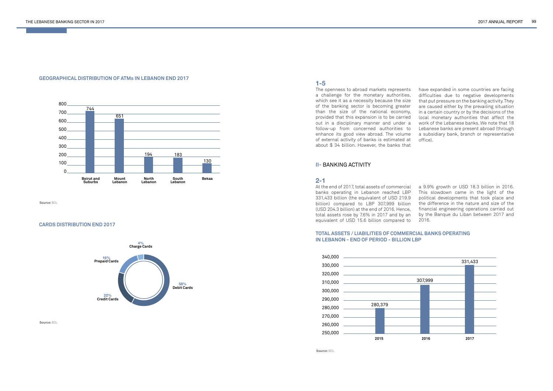### **GEOGRAPHICAL DISTRIBUTION OF ATMs IN LEBANON END 2017**

# **TOTAL ASSETS / LIABILITIES OF COMMERCIAL BANKS OPERATING IN LEBANON - END OF PERIOD - BILLION LBP**

#### **CARDS DISTRIBUTION END 2017**





 **Source:** BDL

 **Source:** BDL

 **Source:** BDL



# **1-5**

The openness to abroad markets represents a challenge for the monetary authorities, which see it as a necessity because the size of the banking sector is becoming greater than the size of the national economy, provided that this expansion is to be carried out in a disciplinary manner and under a follow-up from concerned authorities to enhance its good view abroad. The volume of external activity of banks is estimated at about \$ 34 billion. However, the banks that

have expanded in some countries are facing difficulties due to negative developments that put pressure on the banking activity. They are caused either by the prevailing situation in a certain country or by the decisions of the local monetary authorities that affect the work of the Lebanese banks. We note that 18 Lebanese banks are present abroad (through a subsidiary bank, branch or representative office).

# **II-** BANKING ACTIVITY

# **2-1**

At the end of 2017, total assets of commercial banks operating in Lebanon reached LBP 331,433 billion (the equivalent of USD 219.9 billion) compared to LBP 307,999 billion (USD 204.3 billion) at the end of 2016. Hence, total assets rose by 7.6% in 2017 and by an equivalent of USD 15.6 billion compared to

a 9.9% growth or USD 18.3 billion in 2016. This slowdown came in the light of the political developments that took place and the difference in the nature and size of the financial engineering operations carried out by the Banque du Liban between 2017 and 2016.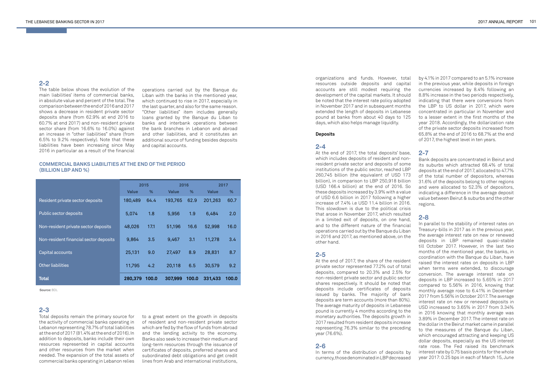# **2-2**

The table below shows the evolution of the main liabilities' items of commercial banks, in absolute value and percent of the total. The comparison between the end of 2016 and 2017 shows a decrease in resident private sector deposits share (from 62.9% at end 2016 to 60.7% at end 2017) and non-resident private sector share (from 16.6% to 16.0%) against an increase in "other liabilities" share (from 6.5% to 9.2% respectively). Note that these liabilities have been increasing since May 2016 in particular as a result of the financial

**2-3**

Total deposits remain the primary source for the activity of commercial banks operating in Lebanon representing 78.7% of total liabilities at the end of 2017 (81.4% at the end of 2016). In addition to deposits, banks include their own resources represented in capital accounts and other resources from the market when needed. The expansion of the total assets of commercial banks operating in Lebanon relies

to a great extent on the growth in deposits of resident and non-resident private sector which are fed by the flow of funds from abroad and the lending activity to the economy. Banks also seek to increase their medium and long-term resources through the issuance of certificates of deposits, preferred shares and subordinated debt obligations and get credit lines from Arab and international institutions, organizations and funds. However, total resources outside deposits and capital accounts are still modest requiring the development of the capital markets. It should be noted that the interest rate policy adopted in November 2017 and in subsequent months extended the length of deposits in Lebanese pound at banks from about 40 days to 125 days, which also helps manage liquidity.

#### **Deposits**

#### **2-4**

At the end of 2017, the total deposits' base, which includes deposits of resident and nonresident private sector and deposits of some institutions of the public sector, reached LBP 260,745 billion (the equivalent of USD 173 billion), in comparison to LBP 250,918 billion (USD 166.4 billion) at the end of 2016. So these deposits increased by 3.9% with a value of USD 6.6 billion in 2017 following a higher increase of 7.4% i.e USD 11.4 billion in 2016. This slowdown is due to the political crisis that arose in November 2017, which resulted in a limited exit of deposits, on one hand, and to the different nature of the financial operations carried out by the Banque du Liban in 2016 and 2017, as mentioned above, on the other hand.

### **2-5**

At the end of 2017, the share of the resident private sector represented 77.2% out of total deposits, compared to 20.3% and 2.5% for non-resident private sector and public sector shares respectively. It should be noted that deposits include certificates of deposits issued by banks. The majority of bank deposits are term accounts (more than 80%). The average maturity of deposits in Lebanese pound is currently 4 months according to the monetary authorities. The deposits growth in 2017 resulted from resident deposits increase representing 76.3% similar to the preceding year (76.6%).

### **2-6**

In terms of the distribution of deposits by currency, those denominated in LBP decreased by 4.1% in 2017 compared to an 5.1% increase in the previous year, while deposits in foreign currencies increased by 8.4% following an 8.8% increase in the two periods respectively, indicating that there were conversions from the LBP to US dollar in 2017, which were concentrated in particular in November and to a lesser extent in the first months of the year 2018. Accordingly, the dollarization rate of the private sector deposits increased from 65.8% at the end of 2016 to 68.7% at the end of 2017, the highest level in ten years.

# **2-7**

Bank deposits are concentrated in Beirut and its suburbs which attracted 68.4% of total deposits at the end of 2017, allocated to 47.7% of the total number of depositors, whereas 31.6% of the deposits belong to other regions and were allocated to 52.3% of depositors, indicating a difference in the average deposit value between Beirut & suburbs and the other regions.

# **2-8**

In parallel to the stability of interest rates on Treasury-bills in 2017 as in the previous year, the average interest rate on new or renewed deposits in LBP remained quasi-stable till October 2017. However, in the last two months of the mentioned year, the banks, in coordination with the Banque du Liban, have raised the interest rates on deposits in LBP when terms were extended, to discourage conversion. The average interest rate on deposits in LBP increased to 5.65% in 2017 compared to 5.56% in 2016, knowing that monthly average rose to 6.41% in December 2017 from 5.56% in October 2017. The average interest rate on new or renewed deposits in USD increased to 3.65% in 2017 from 3.34% in 2016 knowing that monthly average was 3.89% in December 2017. The interest rate on the dollar in the Beirut market came in parallel to the measures of the Banque du Liban, which encouraged attracting and keeping US dollar deposits, especially as the US interest rate rose. The Fed raised its benchmark interest rate by 0.75 basis points for the whole year 2017: 0.25 bps in each of March 15, June

operations carried out by the Banque du Liban with the banks in the mentioned year, which continued to rise in 2017, especially in the last quarter, and also for the same reason. "Other liabilities" item includes generally loans granted by the Banque du Liban to banks and interbank operations between the bank branches in Lebanon and abroad and other liabilities, and it constitutes an additional source of funding besides deposits and capital accounts.

# **COMMERCIAL BANKS LIABILITIES AT THE END OF THE PERIOD (BILLION LBP AND %)**

|                                        | 2015         |       | 2016         |       | 2017         |       |
|----------------------------------------|--------------|-------|--------------|-------|--------------|-------|
|                                        | <b>Value</b> | %     | <b>Value</b> | %     | <b>Value</b> | %     |
| Resident private sector deposits       | 180,489      | 64.4  | 193,765      | 62.9  | 201,263      | 60.7  |
| Public sector deposits                 | 5,074        | 1.8   | 5,956        | 1.9   | 6,484        | 2.0   |
| Non-resident private sector deposits   | 48,026       | 17.1  | 51,196       | 16.6  | 52,998       | 16.0  |
| Non-resident financial sector deposits | 9,864        | 3.5   | 9,467        | 3.1   | 11,278       | 3.4   |
| Capital accounts                       | 25,131       | 9.0   | 27,497       | 8.9   | 28,831       | 8.7   |
| <b>Other liabilities</b>               | 11,795       | 4.2   | 20,118       | 6.5   | 30,579       | 9.2   |
| <b>Total</b>                           | 280,379      | 100.0 | 307,999      | 100.0 | 331,433      | 100.0 |

 **Source:** BDL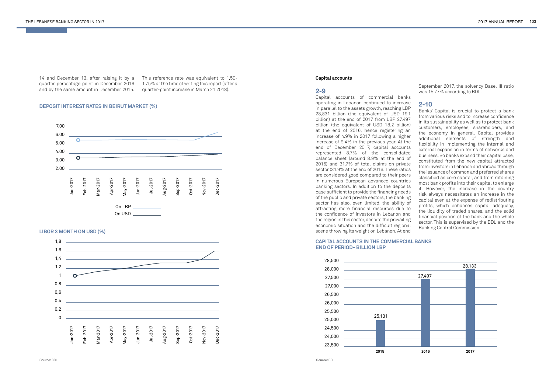14 and December 13, after raising it by a This reference rate was equivalent to 1.50 quarter percentage point in December 2016 1.75% at the time of writing this report (after a and by the same amount in December 2015. quarter-point increase in March 21 2018).

# **DEPOSIT INTEREST RATES IN BEIRUT MARKET (%)**

**LIBOR 3 MONTH ON USD (%)**

#### **CAPITAL ACCOUNTS IN THE COMMERCIAL BANKS END OF PERIOD- BILLION LBP**





 **Source:** BDL **Source:** BDL

#### **Capital accounts**

# **2-9**

Capital accounts of commercial banks operating in Lebanon continued to increase in parallel to the assets growth, reaching LBP 28,831 billion (the equivalent of USD 19.1 billion) at the end of 2017 from LBP 27,497 billion (the equivalent of USD 18.2 billion) at the end of 2016, hence registering an increase of 4.9% in 2017 following a higher increase of 9.4% in the previous year. At the end of December 2017, capital accounts represented 8.7% of the consolidated balance sheet (around 8.9% at the end of 2016) and 31.7% of total claims on private sector (31.9% at the end of 2016. These ratios are considered good compared to their peers in numerous European advanced countries banking sectors. In addition to the deposits base sufficient to provide the financing needs of the public and private sectors, the banking sector has also, even limited, the ability of attracting more financial resources due to the confidence of investors in Lebanon and the region in this sector, despite the prevailing economic situation and the difficult regional scene throwing its weight on Lebanon. At end



September 2017, the solvency Basel III ratio was 15.77% according to BDL.

# **2-10**

Banks' Capital is crucial to protect a bank from various risks and to increase confidence in its sustainability as well as to protect bank customers, employees, shareholders, and the economy in general. Capital provides additional elements of strength and flexibility in implementing the internal and external expansion in terms of networks and business. So banks expand their capital base, constituted from the new capital attracted from investors in Lebanon and abroad through the issuance of common and preferred shares classified as core capital, and from retaining most bank profits into their capital to enlarge it. However, the increase in the country risk always necessitates an increase in the capital even at the expense of redistributing profits, which enhances capital adequacy, the liquidity of traded shares, and the solid financial position of the bank and the whole sector. This is supervised by the BDL and the Banking Control Commission.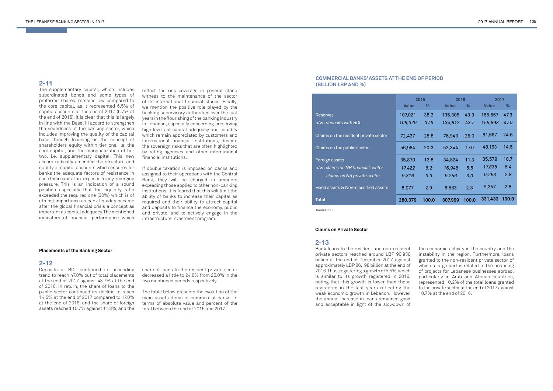# **2-11**

The supplementary capital, which includes subordinated bonds and some types of preferred shares, remains low compared to the core capital, as it represented 6.5% of capital accounts at the end of 2017 (6.7% at the end of 2016). It is clear that this is largely in line with the Basel III accord to strengthen the soundness of the banking sector, which includes improving the quality of the capital base through focusing on the concept of shareholders equity within tier one, i.e. the core capital, and the marginalization of tier two, i.e. supplementary capital. This new accord radically amended the structure and quality of capital accounts which ensures for banks the adequate factors of resistance in case their capital are exposed to any emerging pressure. This is an indication of a sound position especially that the liquidity ratio exceeded the required one (30%) which is of utmost importance as bank liquidity became after the global financial crisis a concept as important as capital adequacy. The mentioned indicators of financial performance which

#### **Placements of the Banking Sector**

#### **2-12**

Deposits at BDL continued its ascending trend to reach 47.0% out of total placements at the end of 2017 against 43.7% at the end of 2016. In return, the share of loans to the public sector continued its decline to reach 14.5% at the end of 2017 compared to 17.0% at the end of 2016, and the share of foreign assets reached 10.7% against 11.3%, and the

#### **Claims on Private Sector**

# **2-13**

Bank loans to the resident and non-resident private sectors reached around LBP 90,930 billion at the end of December 2017, against approximately LBP 86,198 billion at the end of 2016. Thus, registering a growth of 5.5%, which is similar to its growth registered in 2016, noting that this growth is lower than those registered in the last years reflecting the weak economic growth in Lebanon. However, the annual increase in loans remained good and acceptable in light of the slowdown of

|  |  | <b>OF PERIOD</b> |  |
|--|--|------------------|--|
|  |  |                  |  |

# **COMMERCIAL BANKS' ASSETS AT THE END (BILLION LBP AND %)**

the economic activity in the country and the instability in the region. Furthermore, loans granted to the non-resident private sector, of which a large part is related to the financing of projects for Lebanese businesses abroad, particularly in Arab and African countries, represented 10.2% of the total loans granted to the private sector at the end of 2017 against 10.7% at the end of 2016.

share of loans to the resident private sector decreased a little to 24.6% from 25.0% in the two mentioned periods respectively.

The table below presents the evolution of the main assets items of commercial banks, in terms of absolute value and percent of the total between the end of 2015 and 2017.

reflect the risk coverage in general stand witness to the maintenance of the sector of its international financial stance. Finally, we mention the positive role played by the banking supervisory authorities over the last years in the flourishing of the banking industry in Lebanon, especially concerning preserving high levels of capital adequacy and liquidity which remain appreciated by customers and international financial institutions, despite the sovereign risks that are often highlighted by rating agencies and other international financial institutions.

If double taxation is imposed on banks and assigned to their operations with the Central Bank, they will be charged in amounts exceeding those applied to other non-banking institutions, it is feared that this will limit the ability of banks to increase their capital as required and their ability to attract capital and deposits to finance the economy, public and private, and to actively engage in the infrastructure investment program.

|                                       | 2015         |       | 2016         |       | 2017         |       |
|---------------------------------------|--------------|-------|--------------|-------|--------------|-------|
|                                       | <b>Value</b> | %     | <b>Value</b> | %     | <b>Value</b> | %     |
| <b>Reserves</b>                       | 107,021      | 38.2  | 135,305      | 43.9  | 156,667      | 47.3  |
| o/w: deposits with BDL                | 106,329      | 37.9  | 134,612      | 43.7  | 155,893      | 47.0  |
| Claims on the resident private sector | 72,427       | 25.8  | 76,943       | 25.0  | 81,667       | 24.6  |
| Claims on the public sector           | 56,984       | 20.3  | 52,344       | 17.0  | 48,163       | 14.5  |
| Foreign assets                        | 35,870       | 12.8  | 34,824       | 11.3  | 35,579       | 10.7  |
| o/w: claims on NR financial sector    | 17,422       | 6.2   | 16,945       | 5.5   | 17,835       | 5.4   |
| claims on NR private sector           | 9,316        | 3.3   | 9,256        | 3.0   | 9,263        | 2.8   |
| Fixed assets & Non-classified assets  | 8,077        | 2.9   | 8,583        | 2.8   | 9,357        | 2.8   |
| Total                                 | 280,379      | 100.0 | 307,999      | 100.0 | 331,433      | 100.0 |

 **Source:** BDL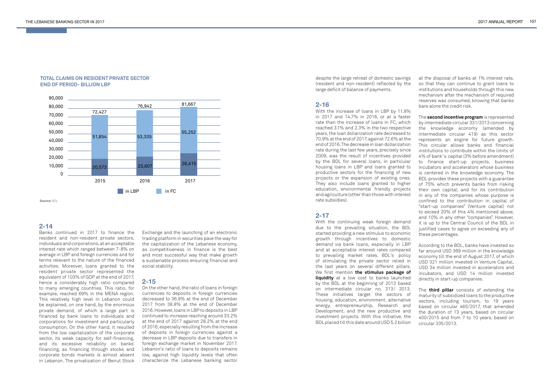

 **Source:** BDL

## **TOTAL CLAIMS ON RESIDENT PRIVATE SECTOR END OF PERIOD- BILLION LBP**

# **2-14**

Banks continued in 2017 to finance the resident and non-resident private sectors, individuals and corporations, at an acceptable interest rate which ranged between 7-8% on average in LBP and foreign currencies and for terms relevant to the nature of the financed activities. Moreover, loans granted to the resident private sector represented the equivalent of 103% of GDP at the end of 2017, hence a considerably high ratio compared to many emerging countries. This ratio, for example, reached 69% in the MENA region. This relatively high level in Lebanon could be explained, on one hand, by the enormous private demand, of which a large part is financed by bank loans to individuals and corporations for investment and particularly consumption. On the other hand, it resulted from the low capitalization of the corporate sector, its weak capacity for self-financing, and its excessive reliability on banks' financing, as financing through stocks and corporate bonds markets is almost absent in Lebanon. The privatization of Beirut Stock

despite the large retreat of domestic savings (resident and non-resident) reflected by the large deficit of balance of payments.

# **2-16**

With the increase of loans in LBP by 11.9% in 2017 and 14.7% in 2016, or at a faster rate than the increase of loans in FC, which reached 3.1% and 2.3% in the two respective years, the loan dollarization rate decreased to 70.9% at the end of 2017, against 72.6% at the end of 2016. The decrease in loan dollarization rate during the last few years, precisely since 2009, was the result of incentives provided by the BDL for several loans, in particular housing loans in LBP and loans granted to productive sectors for the financing of new projects or the expansion of existing ones. They also include loans granted to higher education, environmental friendly projects and agriculture (other than those with interest rate subsidies).

# **2-17**

With the continuing weak foreign demand due to the prevailing situation, the BDL started providing a new stimulus to economic growth through incentives to domestic demand via bank loans, especially in LBP and at acceptable interest rates compared to prevailing market rates. BDL's policy of stimulating the private sector relied in the last years on several different pillars. We first mention **the stimulus package of liquidity** at a low cost to banks launched by the BDL at the beginning of 2013 based on intermediate circular no. 313/ 2013. These initiatives target the sectors of housing, education, environment, alternative energy, entrepreneurship, Research and Development, and the new productive and investment projects. With this initiative, the BDL placed till this date around USD 5.2 billion

at the disposal of banks at 1% interest rate, so that they can continue to grant loans to institutions and households through this new mechanism after the mechanism of required reserves was consumed, knowing that banks bare alone the credit risk.

The **second incentive program** is represented by intermediate circular 331/2013 concerning the knowledge economy (amended by intermediate circular 419) as this sector represents an engine for future growth. This circular allows banks and financial institutions to contribute within the limits of 4% of bank' s capital (3% before amendment) to finance start-up projects, business incubators and accelerators whose business is centered in the knowledge economy. The BDL provides these projects with a guarantee of 75% which prevents banks from risking their own capital; and for its contribution in any of the companies whose purpose is confined to the contribution in capital of "start-up companies" (Venture capital) not to exceed 20% of this 4% mentioned above, and 10% in any other "companies". However, it is up to the Central Council of the BDL in justified cases to agree on exceeding any of these percentages.

According to the BDL, banks have invested so far around USD 369 million in the knowledge economy till the end of August 2017, of which USD 321 million invested in Venture Capital, USD 34 million invested in accelerators and incubators, and USD 14 million invested directly in start-up companies.

The **third pillar** consists of extending the maturity of subsidized loans to the productive sectors, including tourism, to 19 years based on circular 465/2017, that amended the duration of 13 years, based on circular 400/2015 and from 7 to 10 years, based on circular 335/2013.

Exchange and the launching of an electronic trading platform in securities pave the way for the capitalization of the Lebanese economy, as competitiveness in finance is the best and most successful way that make growth a sustainable process ensuring financial and social stability.

# **2-15**

On the other hand, the ratio of loans in foreign currencies to deposits in foreign currencies decreased to 36.9% at the end of December 2017 from 38.8% at the end of December 2016. However, loans in LBP to deposits in LBP continued to increase reaching around 33.2% at the end of 2017 against 28.2% at the end of 2016, especially resulting from the increase of deposits in foreign currencies against a decrease in LBP deposits due to transfers in foreign exchange market in November 2017. Lebanon's ratio of loans to deposits remains low, against high liquidity levels that often characterize the Lebanese banking sector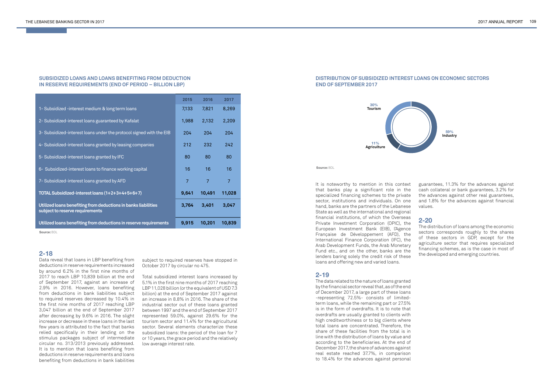|                                                                                                   | 2015           | 2016   | 2017   |
|---------------------------------------------------------------------------------------------------|----------------|--------|--------|
| 1- Subsidized -interest medium & long term loans                                                  | 7,133          | 7,821  | 8,269  |
| 2- Subsidized-interest loans guaranteed by Kafalat                                                | 1,988          | 2,132  | 2,209  |
| 3- Subsidized-interest loans under the protocol signed with the EIB                               | 204            | 204    | 204    |
| 4- Subsidized-interest loans granted by leasing companies                                         | 212            | 232    | 242    |
| 5- Subsidized-interest loans granted by IFC                                                       | 80             | 80     | 80     |
| 6- Subsidized-interest loans to finance working capital                                           | 16             | 16     | 16     |
| 7- Subsidized-interest loans granted by AFD                                                       | $\overline{7}$ | 7      | 7      |
| TOTAL Subsidized-interest loans (1+2+3+4+5+6+7)                                                   | 9,641          | 10,491 | 11,028 |
| Utilized loans benefiting from deductions in banks liabilities<br>subject to reserve requirements | 3,764          | 3,401  | 3,047  |
| Utilized loans benefiting from deductions in reserve requirements                                 | 9,915          | 10,201 | 10,839 |

#### **SUBSIDIZED LOANS AND LOANS BENEFITING FROM DEDUCTION IN RESERVE REQUIREMENTS (END OF PERIOD – BILLION LBP)**

# **DISTRIBUTION OF SUBSIDIZED INTEREST LOANS ON ECONOMIC SECTORS END OF SEPTEMBER 2017**

 **Source:** BDL

 **Source:** BDL

# **2-18**

Data reveal that loans in LBP benefiting from deductions in reserve requirements increased by around 6.2% in the first nine months of 2017 to reach LBP 10,839 billion at the end of September 2017, against an increase of 2.9% in 2016. However, loans benefiting from deductions in bank liabilities subject to required reserves decreased by 10.4% in the first nine months of 2017 reaching LBP 3,047 billion at the end of September 2017 after decreasing by 9.6% in 2016. The slight increase or decrease in these loans in the last few years is attributed to the fact that banks relied specifically in their lending on the stimulus packages subject of intermediate circular no. 313/2013 previously addressed. It is to mention that loans benefiting from deductions in reserve requirements and loans benefiting from deductions in bank liabilities

It is noteworthy to mention in this context that banks play a significant role in the specialized financing schemes to the private sector, institutions and individuals. On one hand, banks are the partners of the Lebanese State as well as the international and regional financial institutions, of which the Overseas Private Investment Corporation (OPIC), the European Investment Bank (EIB), l'Agence Française de Développement (AFD), the International Finance Corporation (IFC), the Arab Development Funds, the Arab Monetary Fund etc., and on the other, banks are the lenders baring solely the credit risk of these loans and offering new and varied loans.

#### **2-19**

The data related to the nature of loans granted by the financial sector reveal that, as of the end of December 2017, a large part of these loans -representing 72.5%- consists of limitedterm loans, while the remaining part or 27.5% is in the form of overdrafts. It is to note that overdrafts are usually granted to clients with high creditworthiness or to big clients where total loans are concentrated. Therefore, the share of these facilities from the total is in line with the distribution of loans by value and according to the beneficiaries. At the end of December 2017, the share of advances against real estate reached 37.7%, in comparison to 18.4% for the advances against personal

guarantees, 11.3% for the advances against cash collateral or bank guarantees, 3.2% for the advances against other real guarantees, and 1.8% for the advances against financial values.

# **2-20**

The distribution of loans among the economic sectors corresponds roughly to the shares of these sectors in GDP, except for the agriculture sector that requires specialized financing schemes, as is the case in most of the developed and emerging countries.

subject to required reserves have stopped in October 2017 by circular no 475.

Total subsidized interest loans increased by 5.1% in the first nine months of 2017 reaching LBP 11,028 billion (or the equivalent of USD 7.3 billion) at the end of September 2017 against an increase in 8.8% in 2016. The share of the industrial sector out of these loans granted between 1997 and the end of September 2017 represented 59.0%, against 29.6% for the tourism sector and 11.4% for the agricultural sector. Several elements characterize these subsidized loans: the period of the loan for 7 or 10 years, the grace period and the relatively low average interest rate.

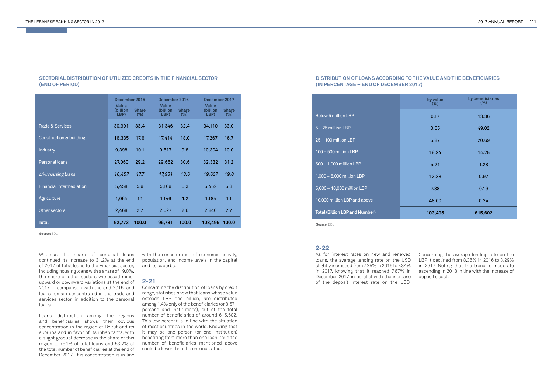#### **SECTORIAL DISTRIBUTION OF UTILIZED CREDITS IN THE FINANCIAL SECTOR (END OF PERIOD)**

|                                    | December 2015<br><b>Value</b> |                        | <b>Value</b>     | December 2016          |                                  | December 2017          |
|------------------------------------|-------------------------------|------------------------|------------------|------------------------|----------------------------------|------------------------|
|                                    | (billion<br>LBP)              | <b>Share</b><br>$(\%)$ | (billion<br>LBP) | <b>Share</b><br>$(\%)$ | <b>Value</b><br>(billion<br>LBP) | <b>Share</b><br>$(\%)$ |
| <b>Trade &amp; Services</b>        | 30,991                        | 33.4                   | 31,346           | 32.4                   | 34,110                           | 33.0                   |
| <b>Construction &amp; building</b> | 16,335                        | 17.6                   | 17,414           | 18.0                   | 17,267                           | 16.7                   |
| Industry                           | 9,398                         | 10.1                   | 9,517            | 9.8                    | 10,304                           | 10.0                   |
| Personal loans                     | 27,060                        | 29.2                   | 29,662           | 30.6                   | 32,332                           | 31.2                   |
| o/w: housing loans                 | 16,457                        | 17.7                   | 17,981           | 18.6                   | 19,637                           | 19.0                   |
| <b>Financial intermediation</b>    | 5,458                         | 5.9                    | 5,169            | 5.3                    | 5,452                            | 5.3                    |
| Agriculture                        | 1,064                         | 1.1                    | 1,146            | 1.2                    | 1,184                            | 1.1                    |
| Other sectors                      | 2,468                         | 2.7                    | 2,527            | 2.6                    | 2,846                            | 2.7                    |
| <b>Total</b>                       | 92,773                        | 100.0                  | 96,781           | 100.0                  | 103,495                          | 100.0                  |

 **Source:** BDL

Whereas the share of personal loans continued its increase to 31.2% at the end of 2017 of total loans to the Financial sector, including housing loans with a share of 19.0%, the share of other sectors witnessed minor upward or downward variations at the end of 2017 in comparison with the end 2016, and loans remain concentrated in the trade and services sector, in addition to the personal loans.

Loans' distribution among the regions and beneficiaries shows their obvious concentration in the region of Beirut and its suburbs and in favor of its inhabitants, with a slight gradual decrease in the share of this region to 75.1% of total loans and 53.2% of the total number of beneficiaries at the end of December 2017. This concentration is in line

with the concentration of economic activity, population, and income levels in the capital and its suburbs.

# **2-21**

Concerning the distribution of loans by credit range, statistics show that loans whose value exceeds LBP one billion, are distributed among 1.4% only of the beneficiaries (or 8,571 persons and institutions), out of the total number of beneficiaries of around 615,602. This low percent is in line with the situation of most countries in the world. Knowing that it may be one person (or one institution) benefiting from more than one loan, thus the number of beneficiaries mentioned above could be lower than the one indicated.

# **2-22**

As for interest rates on new and renewed loans, the average lending rate on the USD slightly increased from 7.25% in 2016 to 7.34% in 2017, knowing that it reached 7.67% in December 2017, in parallel with the increase of the deposit interest rate on the USD.

Concerning the average lending rate on the LBP, it declined from 8.35% in 2016 to 8.29% in 2017. Noting that the trend is moderate ascending in 2018 in line with the increase of deposit's cost.

|                                       | by value<br>$(\%)$ | by beneficiaries<br>$(\%)$ |
|---------------------------------------|--------------------|----------------------------|
| <b>Below 5 million LBP</b>            | 0.17               | 13.36                      |
| 5 - 25 million LBP                    | 3.65               | 49.02                      |
| 25 - 100 million LBP                  | 5.87               | 20.69                      |
| 100 - 500 million LBP                 | 16.84              | 14.25                      |
| 500 - 1,000 million LBP               | 5.21               | 1.28                       |
| 1,000 - 5,000 million LBP             | 12.38              | 0.97                       |
| 5,000 - 10,000 million LBP            | 7.88               | 0.19                       |
| 10,000 million LBP and above          | 48.00              | 0.24                       |
| <b>Total (Billion LBP and Number)</b> | 103,495            | 615,602                    |
| Source: BDL                           |                    |                            |

# **DISTRIBUTION OF LOANS ACCORDING TO THE VALUE AND THE BENEFICIARIES (IN PERCENTAGE – END OF DECEMBER 2017)**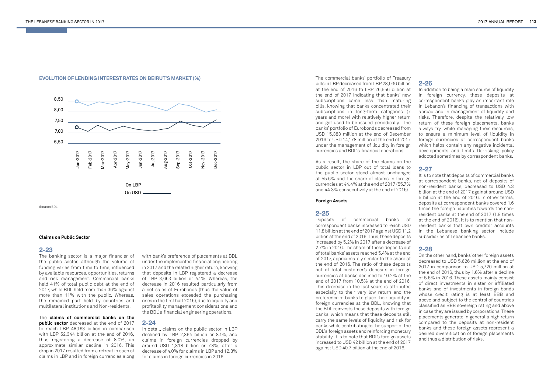# **EVOLUTION OF LENDING INTEREST RATES ON BEIRUT'S MARKET (%)**



 **Source:** BDL

#### **Claims on Public Sector**

# **2-23**

The banking sector is a major financier of the public sector, although the volume of funding varies from time to time, influenced by available resources, opportunities, returns and risk management. Commercial banks held 41% of total public debt at the end of 2017, while BDL held more than 36% against more than 11% with the public. Whereas, the remained part held by countries and multilateral institutions and Non-residents.

The **claims of commercial banks on the public sector** decreased at the end of 2017 to reach LBP 48,163 billion in comparison with LBP 52,344 billion at the end of 2016, thus registering a decrease of 8.0%, an approximate similar decline in 2016. This drop in 2017 resulted from a retreat in each of claims in LBP and in foreign currencies along

with bank's preference of placements at BDL under the implemented financial engineering in 2017 and the related higher return, knowing that deposits in LBP registered a decrease of LBP 3,663 billion or 4.1%. Whereas, the decrease in 2016 resulted particularly from a net sales of Eurobonds (thus the value of sales operations exceeded the purchasing ones in the first half 2016), due to liquidity and profitability management considerations and the BDL's financial engineering operations.

# **2-24**

In detail, claims on the public sector in LBP declined by LBP 2,364 billion or 8.1%, and claims in foreign currencies dropped by around USD 1,818 billion or 7.8%, after a decrease of 4.0% for claims in LBP and 12.8% for claims in foreign currencies in 2016.

The commercial banks' portfolio of Treasury bills in LBP decreased from LBP 28,936 billion at the end of 2016 to LBP 26,556 billion at the end of 2017 indicating that banks' new subscriptions came less than maturing bills, knowing that banks concentrated their subscriptions in long-term categories (7 years and more) with relatively higher return and get used to be issued periodically. The banks' portfolio of Eurobonds decreased from USD 15,383 million at the end of December 2016 to USD 14,178 million at the end of 2017 under the management of liquidity in foreign currencies and BDL's financial operations.

As a result, the share of the claims on the public sector in LBP out of total loans to the public sector stood almost unchanged at 55.6% and the share of claims in foreign currencies at 44.4% at the end of 2017 (55.7% and 44.3% consecutively at the end of 2016).

#### **Foreign Assets**

#### **2-25**

Deposits of commercial banks at correspondent banks increased to reach USD 11.8 billion at the end of 2017 against USD 11.2 billion at the end of 2016. Thus, these deposits increased by 5.2% in 2017 after a decrease of 2.7% in 2016. The share of these deposits out of total banks' assets reached 5.4% at the end of 2017, approximately similar to the share at the end of 2016. The ratio of these deposits out of total customer's deposits in foreign currencies at banks declined to 10.2% at the end of 2017 from 10.5% at the end of 2016. This decrease in the last years is attributed especially to their very low return and the preference of banks to place their liquidity in foreign currencies at the BDL, knowing that the BDL reinvests these deposits with foreign banks, which means that these deposits still carry the same levels of liquidity and risk for banks while contributing to the support of the BDL's foreign assets and reinforcing monetary stability. It is to note that BDL's foreign assets increased to USD 42 billion at the end of 2017 against USD 40.7 billion at the end of 2016.

# **2-26**

In addition to being a main source of liquidity in foreign currency, these deposits at correspondent banks play an important role in Lebanon's financing of transactions with abroad and in management of liquidity and risks. Therefore, despite the relatively low return of these foreign placements, banks always try, while managing their resources, to ensure a minimum level of liquidity in foreign currencies at correspondent banks which helps contain any negative incidental developments and limits De-risking policy adopted sometimes by correspondent banks.

# **2-27**

It is to note that deposits of commercial banks at correspondent banks, net of deposits of non-resident banks, decreased to USD 4.3 billion at the end of 2017 against around USD 5 billion at the end of 2016. In other terms, deposits at correspondent banks covered 1.6 times the foreign liabilities towards the nonresident banks at the end of 2017 (1.8 times at the end of 2016). It is to mention that nonresident banks that own creditor accounts in the Lebanese banking sector include subsidiaries of Lebanese banks.

# **2-28**

On the other hand, banks' other foreign assets decreased to USD 5,626 million at the end of 2017 in comparison to USD 5,720 million at the end of 2016, thus by 1.6% after a decline of 5.6% in 2016. These assets mainly consist of direct investments in sister or affiliated banks and of investments in foreign bonds whose credit rating is at least BBB and above and subject to the control of countries classified as BBB sovereign rating and above in case they are issued by corporations. These placements generate in general a high return compared to the deposits at non-resident banks and these foreign assets represent a desired diversification of foreign placements and thus a distribution of risks.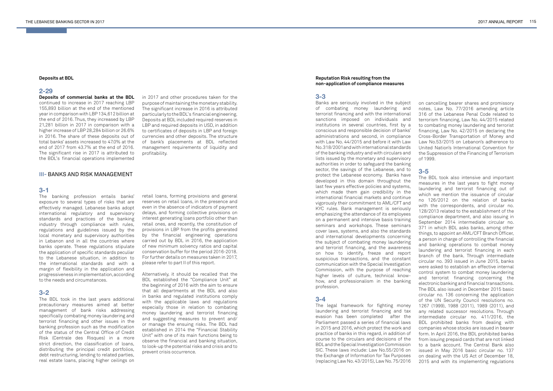#### **Deposits at BDL**

# **2-29**

**Deposits of commercial banks at the BDL**  continued to increase in 2017 reaching LBP 155,893 billion at the end of the mentioned year in comparison with LBP 134,612 billion at the end of 2016. Thus, they increased by LBP 21,281 billion in 2017 in comparison with a higher increase of LBP 28,284 billion or 26.6% in 2016. The share of these deposits out of total banks' assets increased to 47.0% at the end of 2017 from 43.7% at the end of 2016. The significant rise in 2017 is attributed to the BDL's financial operations implemented

#### **Reputation Risk resulting from the non-application of compliance measures**

### **3-3**

Banks are seriously involved in the subject of combating money laundering and terrorist financing and with the international sanctions imposed on individuals and institutions in several countries, first by a conscious and responsible decision of banks' administrations and second, in compliance with Law No. 44/2015 and before it with Law No. 318/2001and with international standards of the banking industry and with circulars and lists issued by the monetary and supervisory authorities in order to safeguard the banking sector, the savings of the Lebanese, and to protect the Lebanese economy. Banks have developed in this domain throughout the last few years effective policies and systems, which made them gain credibility in the international financial markets and continue vigorously their commitment to AML/CFT and KYC rules. Bank management is seriously emphasizing the attendance of its employees on a permanent and intensive basis training seminars and workshops. These seminars cover laws, systems, and also the standards and international developments concerning the subject of combating money laundering and terrorist financing, and the awareness on how to identify, freeze and report suspicious transactions, and the constant communication with the Special Investigation Commission, with the purpose of reaching higher levels of culture, technical knowhow, and professionalism in the banking profession.

# **3-4**

The legal framework for fighting money laundering and terrorist financing and tax evasion has been completed after the Parliament passed a series of financial laws in 2015 and 2016, which protect the work and practice of banks in this regard, in addition of course to the circulars and decisions of the BDL and the Special Investigation Commission SIC. These laws include: Law No.55/2016 on the Exchange of Information for Tax Purposes (replacing Law No. 43/2015), Law No. 75/2016

on cancelling bearer shares and promissory notes, Law No. 77/2016 amending article 316 of the Lebanese Penal Code related to terrorism financing, Law No. 44/2015 related to combating money laundering and terrorist financing, Law No. 42/2015 on declaring the Cross-Border Transportation of Money and Law No.53/2015 on Lebanon's adherence to United Nation's International Convention for the Suppression of the Financing of Terrorism of 1999.

# **3-5**

The BDL took also intensive and important measures in the last years to fight money laundering and terrorist financing out of which we mention the issuance of circular no 126/2012 on the relation of banks with the correspondents, and circular no. 128/2013 related to the establishment of the compliance department, and also issuing in September 2014 intermediate circular no. 371 in which BDL asks banks, among other things, to appoint an AML/CFT Branch Officer, a person in charge of controlling the financial and banking operations to combat money laundering and terrorist financing in each branch of the bank. Through intermediate circular no. 393 issued in June 2015, banks were asked to establish an effective internal control system to combat money laundering and terrorist financing concerning the electronic banking and financial transactions. The BDL also issued in December 2015 basic circular no. 136 concerning the application of the UN Security Council resolutions no. 1267 (1999), 1988 (2011), 1989 (2011), and any related successor resolutions. Through intermediate circular no. 411/2016, the BDL prohibited banks from dealing with companies whose stocks are issued in bearer form. In April 2016, the BDL prohibited banks from issuing prepaid cards that are not linked to a bank account. The Central Bank also issued in May 2016 basic circular no. 137 on dealing with the US Act of December 18, 2015 and with its implementing regulations

in 2017 and other procedures taken for the purpose of maintaining the monetary stability. The significant increase in 2016 is attributed particularly to the BDL's financial engineering. Deposits at BDL included required reserves in LBP and required deposits in USD, in addition to certificates of deposits in LBP and foreign currencies and other deposits. The structure of bank's placements at BDL reflected management requirements of liquidity and profitability.

#### **III-** BANKS AND RISK MANAGEMENT

#### **3-1**

The banking profession entails banks' exposure to several types of risks that are effectively managed. Lebanese banks adopt international regulatory and supervisory standards and practices of the banking industry through compliance with rules, regulations and guidelines issued by the local monetary and supervisory authorities in Lebanon and in all the countries where banks operate. These regulations stipulate the application of specific standards peculiar to the Lebanese situation, in addition to the international standards and with a margin of flexibility in the application and progressiveness in implementation, according to the needs and circumstances.

# **3-2**

The BDL took in the last years additional precautionary measures aimed at better management of bank risks addressing specifically combating money laundering and terrorist financing and other issues in the banking profession such as the modification of the status of the Central Office of Credit Risk (Centrale des Risques) in a more strict direction, the classification of loans, distributing the principal credit portfolios, debt restructuring, lending to related parties, real estate loans, placing higher ceilings on

retail loans, forming provisions and general reserves on retail loans, in the presence and even in the absence of indicators of payment delays, and forming collective provisions on interest generating loans portfolio other than retail ones, and recently, the constitution of provisions in LBP from the profits generated by the financial engineering operations carried out by BDL in 2016, the application of new minimum solvency ratios and capital conservation buffer for the period 2016-2018. For further details on measures taken in 2017, please refer to part II of this report.

Alternatively, it should be recalled that the BDL established the "Compliance Unit" at the beginning of 2016 with the aim to ensure that all departments at the BDL and also in banks and regulated institutions comply with the applicable laws and regulations especially those in relation to combating money laundering and terrorist financing and suggesting measures to prevent and/ or manage the ensuing risks. The BDL had established in 2014 the "Financial Stability Unit" with one of its main functions being to observe the financial and banking situation, to look-up the potential risks and crisis and to prevent crisis occurrence.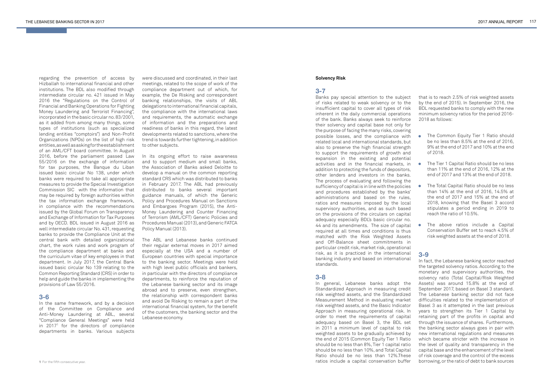regarding the prevention of access by Hizballah to international financial and other institutions. The BDL also modified through intermediate circular no. 421 issued in May 2016 the "Regulations on the Control of Financial and Banking Operations for Fighting Money Laundering and Terrorist Financing", incorporated in the basic circular no. 83/2001, as it added from among many things, some types of institutions (such as specialized lending entities "comptoirs") and Non-Profit Organizations (NPOs) on the list of high risk entities, as well as asking for the establishment of an AML/CFT board committee. In August 2016, before the parliament passed Law 55/2016 on the exchange of information for tax purposes, the Banque du Liban issued basic circular No 138, under which banks were required to take all appropriate measures to provide the Special Investigation Commission SIC with the information that may be required by foreign authorities within the tax information exchange framework, in compliance with the recommendations issued by the Global Forum on Transparency and Exchange of Information for Tax Purposes and by OECD. BDL issued in August 2016 as well intermediate circular No. 431, requesting banks to provide the Compliance Unit at the central bank with detailed organizational chart, the work rules and work program of the compliance department at banks and the curriculum vitae of key employees in that department. In July 2017, the Central Bank issued basic circular No 139 relating to the Common Reporting Standard (CRS) in order to help and guide the banks in implementing the provisions of Law 55/2016.

# **3-6**

In the same framework, and by a decision of the Committee on Compliance and Anti-Money Laundering at ABL, several "Compliance General Meetings" were held in 2017 1 for the directors of compliance departments in banks. Various subjects

were discussed and coordinated, in their last meetings, related to the scope of work of the compliance department out of which, for example, the De Risking and correspondent banking relationships, the visits of ABL delegations to international financial capitals, the compliance with the international laws and requirements, the automatic exchange of information and the preparations and readiness of banks in this regard, the latest developments related to sanctions, where the trend is towards further tightening, in addition to other subjects.

In its ongoing effort to raise awareness and to support medium and small banks, the Association of Banks asked Deloitte to develop a manual on the common reporting standard CRS which was distributed to banks in February 2017. The ABL had previously distributed to banks several important guidance manuals, of which the Generic Policy and Procedures Manual on Sanctions and Embargoes Program (2015), the Anti-Money Laundering and Counter Financing of Terrorism (AML/CFT) Generic Policies and Procedures Manual (2013), and Generic FATCA Policy Manual (2013).

The ABL and Lebanese banks continued their regular external moves in 2017 aimed especially at the USA and a number of European countries with special importance to the banking sector. Meetings were held with high level public officials and bankers, in particular with the directors of compliance departments, to reinforce the reputation of the Lebanese banking sector and its image abroad and to preserve, even strengthen, the relationship with correspondent banks and avoid De Risking to remain a part of the international financial system, for the benefit of the customers, the banking sector and the Lebanese economy.

- The Common Equity Tier 1 Ratio should be no less than 8.5% at the end of 2016, 9% at the end of 2017 and 10% at the end of 2018.
- than 11% at the end of 2016, 12% at the end of 2017 and 13% at the end of 2018.
- **••••**The Total Capital Ratio should be no less  $\bullet$ than 14% at the end of 2016, 14.5% at the end of 2017 and 15% at the end of 2018, knowing that the Basel 3 accord stipulates a period ending in 2019 to reach the ratio of 10.5%.
- The above ratios include a Capital Conservation Buffer set to reach 4.5% of risk weighted assets at the end of 2018.

#### **1** For the fifth consecutive year.

#### **Solvency Risk**

#### **3-7**

Banks pay special attention to the subject of risks related to weak solvency or to the insufficient capital to cover all types of risk inherent in the daily commercial operations of the bank. Banks always seek to reinforce their solvency and capital base not only for the purpose of facing the many risks, covering possible losses, and the compliance with related local and international standards, but also to preserve the high financial strength to support the requirements of growth and expansion in the existing and potential activities and in the financial markets, in The Tier 1 Capital Ratio should be no less addition to protecting the funds of depositors, other lenders and investors in the banks. The process of evaluating and following the sufficiency of capital is in line with the policies and procedures established by the banks' administrations and based on the rules, ratios and measures imposed by the local supervisory authorities, and as such based on the provisions of the circulars on capital adequacy especially BDL's basic circular no. 44 and its amendments. The size of capital required at all times and conditions is thus matched with the Risk Weighted Assets and Off-Balance sheet commitments in particular credit risk, market risk, operational risk, as it is practiced in the international banking industry and based on international standards.

# **3-8**

In general, Lebanese banks adopt the Standardized Approach in measuring credit risk weighted assets, and the Standardized Measurement Method in evaluating market risk weighted assets, and the Basic Indicator Approach in measuring operational risk. In order to meet the requirements of capital adequacy based on Basel 3, the BDL set in 2011 a minimum level of capital to risk weighted assets to be gradually achieved by the end of 2015 (Common Equity Tier 1 Ratio should be no less than 8%, Tier 1 capital ratio should be no less than 10%, and Total Capital Ratio should be no less than 12%.These ratios include a capital conservation buffer

that is to reach 2.5% of risk weighted assets by the end of 2015). In September 2016, the BDL requested banks to comply with the new minimum solvency ratios for the period 2016- 2018 as follows:

# **3-9**

In fact, the Lebanese banking sector reached the targeted solvency ratios. According to the monetary and supervisory authorities, the solvency ratio (Total Capital/Risk Weighted Assets) was around 15.8% at the end of September 2017, based on Basel 3 standard. The Lebanese banking sector did not face difficulties related to the implementation of Basel 3 as it attempted in the last previous years to strengthen its Tier 1 Capital by retaining part of the profits in capital and through the issuance of shares. Furthermore, the banking sector always goes in pair with new international regulations and measures which became stricter with the increase in the level of quality and transparency in the capital base and the enhancement of the level of risk coverage and the control of the excess borrowing, or the ratio of debt to bank sources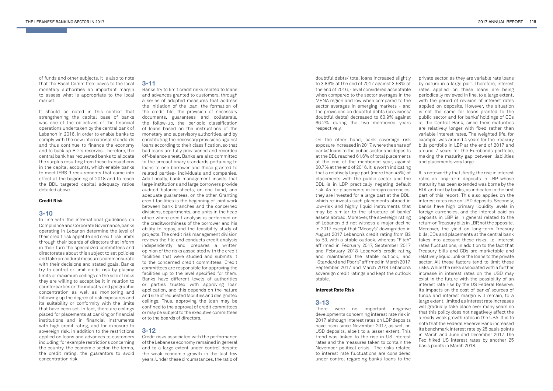of funds and other subjects. It is also to note that the Basel Committee leaves to the local monetary authorities an important margin to assess what is appropriate to the local market.

It should be noted in this context that strengthening the capital base of banks was one of the objectives of the financial operations undertaken by the central bank of Lebanon in 2016, in order to enable banks to comply with the new international standards and thus continue to finance the economy and to back up BDL's reserves. Therefore, the central bank has requested banks to allocate the surplus resulting from these transactions in the capital accounts, which enable banks to meet IFRS 9 requirements that came into effect at the beginning of 2018 and to reach the BDL targeted capital adequacy ratios detailed above.

#### **Credit Risk**

# **3-10**

In line with the international guidelines on Compliance and Corporate Governance, banks operating in Lebanon determine the level of their credit risk appetite and credit risk limits through their boards of directors that inform in their turn the specialized committees and directorates about this subject to set policies and take procedural measures commensurate with their decisions and stated goals. Banks try to control or limit credit risk by placing limits or maximum ceilings on the size of risks they are willing to accept be it in relation to counterparties or the industry and geographic concentration as well as monitoring and following up the degree of risk exposures and its suitability or conformity with the limits that have been set. In fact, there are ceilings placed for placements at banking or financial institutions and in financial instruments with high credit rating, and for exposure to sovereign risk, in addition to the restrictions applied on loans and advances to customers including for example restrictions concerning the country, the economic sector, the terms, the credit rating, the guarantors to avoid concentration risk.

# **3-11**

Banks try to limit credit risks related to loans and advances granted to customers, through a series of adopted measures that address the initiation of the loan, the formation of the credit file, the provision of necessary documents, guarantees and collaterals, the follow-up, the periodic classification of loans based on the instructions of the monetary and supervisory authorities, and by constituting the necessary provisions against loans according to their classification, so that bad loans are fully provisioned and recorded off-balance sheet. Banks are also committed to the precautionary standards pertaining to loans to one borrower and those granted to related parties- individuals and companies. Additionally, bank management insists that large institutions and large borrowers provide audited balance-sheets, on one hand, and adequate guarantees, on the other. Granting credit facilities is the beginning of joint work between bank branches and the concerned divisions, departments, and units in the head office where credit analysis is performed on the creditworthiness of the borrower and his ability to repay, and the feasibility study of projects. The credit risk management division reviews the file and conducts credit analysis independently and prepares a written opinion of the risks associated with the credit facilities that were studied and submits it to the concerned credit committees. Credit committees are responsible for approving the facilities up to the level specified for them. Banks have different levels of authorities or parties trusted with approving loan application, and this depends on the nature and size of requested facilities and designated ceilings. Thus, approving the loan may be confined to the approval of credit committees or may be subject to the executive committees or to the boards of directors.

# **3-12**

Credit risks associated with the performance of the Lebanese economy remained in general and to a large extent under control despite the weak economic growth in the last few years. Under these circumstances, the ratio of doubtful debts/ total loans increased slightly to 3.86% at the end of 2017 against 3.58% at the end of 2016, - level considered acceptable when compared to the sector averages in the MENA region and low when compared to the sector averages in emerging markets - and the provisions on doubtful debts (provisions/ doubtful debts) decreased to 60.9% against 66.2% during the two mentioned years respectively.

On the other hand, bank sovereign risk exposure increased in 2017, where the share of banks' loans to the public sector and deposits at the BDL reached 61.6% of total placements at the end of the mentioned year, against 60.7% at the end of 2016. It is worth indicating that a relatively large part (more than 45%) of placements with the public sector and the BDL is in LBP practically negating default risk. As for placements in foreign currencies, they are invested for a large part at the BDL, which re-invests such placements abroad in low-risk and highly liquid instruments that may be similar to the structure of banks' assets abroad. Moreover, the sovereign rating of Lebanon did not witness a major decline in 2017 except that "Moody's" downgraded in August 2017 Lebanon's credit rating from B2 to B3, with a stable outlook, whereas "Fitch" affirmed in February 2017, September 2017 and February 2018 Lebanon's credit rating and maintained the stable outlook, and "Standard and Poor's" affirmed in March 2017, September 2017 and March 2018 Lebanon's sovereign credit ratings and kept the outlook stable.

#### **Interest Rate Risk**

# **3-13**

There were no important negative developments concerning interest rate risk in 2017, although interest rates on LBP deposits have risen since November 2017, as well on USD deposits, albeit to a lesser extent. This trend was linked to the rise in US interest rates and the measures taken to contain the November political crisis. The risks related to interest rate fluctuations are considered under control regarding banks' loans to the

private sector, as they are variable rate loans by nature in a large part. Therefore, interest rates applied on these loans are being periodically reviewed in line, to a large extent, with the period of revision of interest rates applied on deposits. However, the situation is not the same for loans granted to the public sector and for banks' holdings of CDs at the Central Bank, since their maturities are relatively longer with fixed rather than variable interest rates. The weighted life, for example, was around 4 years for the Treasury bills portfolio in LBP at the end of 2017 and around 7 years for the Eurobonds portfolio, making the maturity gap between liabilities and placements very large.

It is noteworthy that, firstly, the rise in interest rates on long-term deposits in LBP whose maturity has been extended was borne by the BDL and not by banks, as indicated in the first part of this report. This also applies on the interest rates rise on USD deposits. Secondly, banks have high primary liquidity levels in foreign currencies, and the interest paid on deposits in LBP is in general related to the return on Treasury bills in LBP, not the opposite. Moreover, the yield on long-term Treasury bills, CDs and placements at the central bank takes into account these risks, i.e. interest rates fluctuations, in addition to the fact that Treasury bills and CDs are marketable and relatively liquid, unlike the loans to the private sector. All these factors tend to limit these risks. While the risks associated with a further increase in interest rates on the USD may exist in the future with the possibility of an interest rate rise by the US Federal Reserve, its impacts on the cost of banks' sources of funds and interest margin will remain, to a large extent, limited as interest rate increases will gradually take place over many years so that this policy does not negatively affect the already weak growth rates in the USA. It is to note that the Federal Reserve Bank increased its benchmark interest rate by 25 basis points in March and June and December 2017. The Fed hiked US interest rates by another 25 basis points in March 2018.